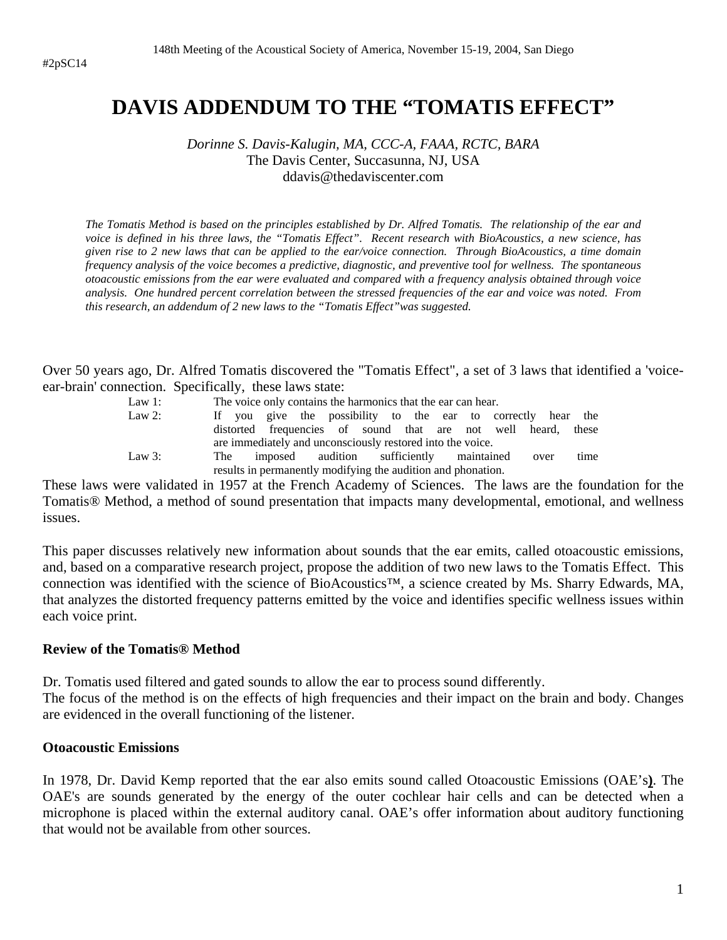# **DAVIS ADDENDUM TO THE "TOMATIS EFFECT"**

*Dorinne S. Davis-Kalugin, MA, CCC-A, FAAA, RCTC, BARA*  The Davis Center, Succasunna, NJ, USA ddavis@thedaviscenter.com

*The Tomatis Method is based on the principles established by Dr. Alfred Tomatis. The relationship of the ear and voice is defined in his three laws, the "Tomatis Effect". Recent research with BioAcoustics, a new science, has given rise to 2 new laws that can be applied to the ear/voice connection. Through BioAcoustics, a time domain frequency analysis of the voice becomes a predictive, diagnostic, and preventive tool for wellness. The spontaneous otoacoustic emissions from the ear were evaluated and compared with a frequency analysis obtained through voice analysis. One hundred percent correlation between the stressed frequencies of the ear and voice was noted. From this research, an addendum of 2 new laws to the "Tomatis Effect"was suggested.* 

Over 50 years ago, Dr. Alfred Tomatis discovered the "Tomatis Effect", a set of 3 laws that identified a 'voiceear-brain' connection. Specifically, these laws state:

| Law $1$ : | The voice only contains the harmonics that the ear can hear.     |  |  |  |  |  |  |  |  |
|-----------|------------------------------------------------------------------|--|--|--|--|--|--|--|--|
| Law 2:    | If you give the possibility to the ear to correctly hear the     |  |  |  |  |  |  |  |  |
|           | distorted frequencies of sound that are not well heard,<br>these |  |  |  |  |  |  |  |  |
|           | are immediately and unconsciously restored into the voice.       |  |  |  |  |  |  |  |  |
| Law $3$ : | imposed audition sufficiently maintained over<br>time<br>The     |  |  |  |  |  |  |  |  |
|           | results in permanently modifying the audition and phonation.     |  |  |  |  |  |  |  |  |

These laws were validated in 1957 at the French Academy of Sciences. The laws are the foundation for the Tomatis® Method, a method of sound presentation that impacts many developmental, emotional, and wellness issues.

This paper discusses relatively new information about sounds that the ear emits, called otoacoustic emissions, and, based on a comparative research project, propose the addition of two new laws to the Tomatis Effect. This connection was identified with the science of BioAcoustics™, a science created by Ms. Sharry Edwards, MA, that analyzes the distorted frequency patterns emitted by the voice and identifies specific wellness issues within each voice print.

#### **Review of the Tomatis® Method**

Dr. Tomatis used filtered and gated sounds to allow the ear to process sound differently.

The focus of the method is on the effects of high frequencies and their impact on the brain and body. Changes are evidenced in the overall functioning of the listener.

#### **Otoacoustic Emissions**

In 1978, Dr. David Kemp reported that the ear also emits sound called Otoacoustic Emissions (OAE's**)**. The OAE's are sounds generated by the energy of the outer cochlear hair cells and can be detected when a microphone is placed within the external auditory canal. OAE's offer information about auditory functioning that would not be available from other sources.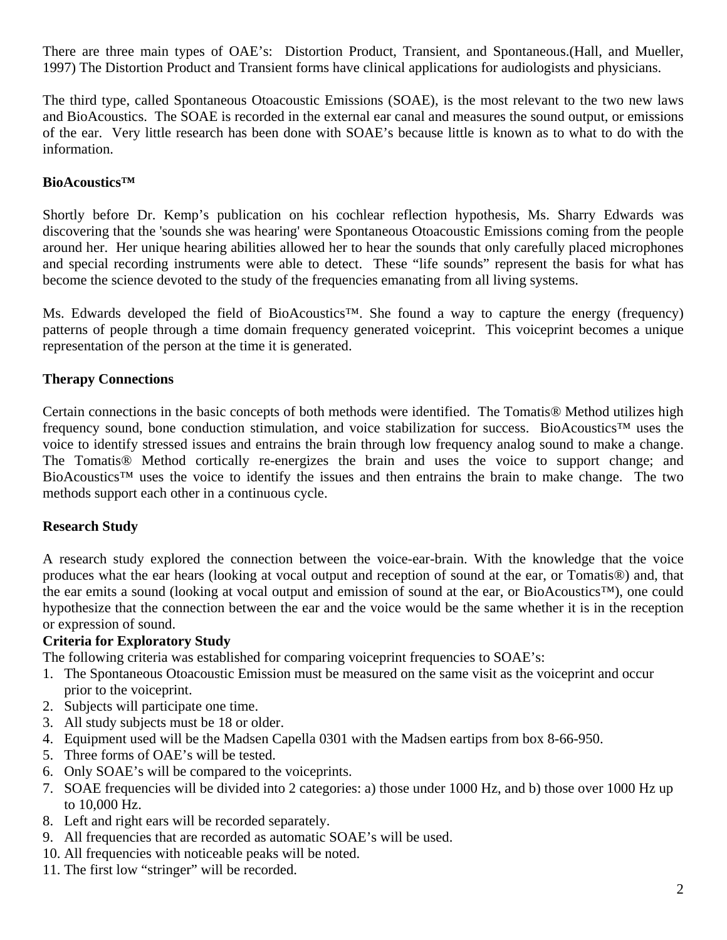There are three main types of OAE's: Distortion Product, Transient, and Spontaneous.(Hall, and Mueller, 1997) The Distortion Product and Transient forms have clinical applications for audiologists and physicians.

The third type, called Spontaneous Otoacoustic Emissions (SOAE), is the most relevant to the two new laws and BioAcoustics. The SOAE is recorded in the external ear canal and measures the sound output, or emissions of the ear. Very little research has been done with SOAE's because little is known as to what to do with the information.

#### **BioAcoustics™**

Shortly before Dr. Kemp's publication on his cochlear reflection hypothesis, Ms. Sharry Edwards was discovering that the 'sounds she was hearing' were Spontaneous Otoacoustic Emissions coming from the people around her. Her unique hearing abilities allowed her to hear the sounds that only carefully placed microphones and special recording instruments were able to detect. These "life sounds" represent the basis for what has become the science devoted to the study of the frequencies emanating from all living systems.

Ms. Edwards developed the field of BioAcoustics<sup>™</sup>. She found a way to capture the energy (frequency) patterns of people through a time domain frequency generated voiceprint. This voiceprint becomes a unique representation of the person at the time it is generated.

### **Therapy Connections**

Certain connections in the basic concepts of both methods were identified. The Tomatis® Method utilizes high frequency sound, bone conduction stimulation, and voice stabilization for success. BioAcoustics™ uses the voice to identify stressed issues and entrains the brain through low frequency analog sound to make a change. The Tomatis® Method cortically re-energizes the brain and uses the voice to support change; and BioAcoustics™ uses the voice to identify the issues and then entrains the brain to make change. The two methods support each other in a continuous cycle.

### **Research Study**

A research study explored the connection between the voice-ear-brain. With the knowledge that the voice produces what the ear hears (looking at vocal output and reception of sound at the ear, or Tomatis®) and, that the ear emits a sound (looking at vocal output and emission of sound at the ear, or BioAcoustics™), one could hypothesize that the connection between the ear and the voice would be the same whether it is in the reception or expression of sound.

### **Criteria for Exploratory Study**

The following criteria was established for comparing voiceprint frequencies to SOAE's:

- 1. The Spontaneous Otoacoustic Emission must be measured on the same visit as the voiceprint and occur prior to the voiceprint.
- 2. Subjects will participate one time.
- 3. All study subjects must be 18 or older.
- 4. Equipment used will be the Madsen Capella 0301 with the Madsen eartips from box 8-66-950.
- 5. Three forms of OAE's will be tested.
- 6. Only SOAE's will be compared to the voiceprints.
- 7. SOAE frequencies will be divided into 2 categories: a) those under 1000 Hz, and b) those over 1000 Hz up to 10,000 Hz.
- 8. Left and right ears will be recorded separately.
- 9. All frequencies that are recorded as automatic SOAE's will be used.
- 10. All frequencies with noticeable peaks will be noted.
- 11. The first low "stringer" will be recorded.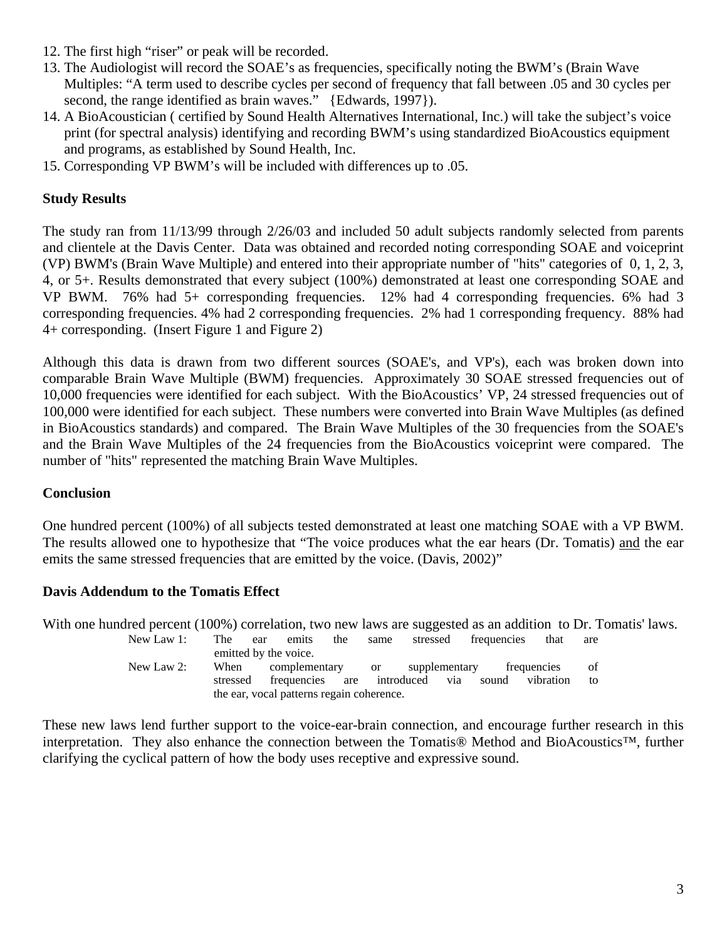- 12. The first high "riser" or peak will be recorded.
- 13. The Audiologist will record the SOAE's as frequencies, specifically noting the BWM's (Brain Wave Multiples: "A term used to describe cycles per second of frequency that fall between .05 and 30 cycles per second, the range identified as brain waves." {Edwards, 1997}).
- 14. A BioAcoustician ( certified by Sound Health Alternatives International, Inc.) will take the subject's voice print (for spectral analysis) identifying and recording BWM's using standardized BioAcoustics equipment and programs, as established by Sound Health, Inc.
- 15. Corresponding VP BWM's will be included with differences up to .05.

## **Study Results**

The study ran from 11/13/99 through 2/26/03 and included 50 adult subjects randomly selected from parents and clientele at the Davis Center. Data was obtained and recorded noting corresponding SOAE and voiceprint (VP) BWM's (Brain Wave Multiple) and entered into their appropriate number of "hits" categories of 0, 1, 2, 3, 4, or 5+. Results demonstrated that every subject (100%) demonstrated at least one corresponding SOAE and VP BWM. 76% had 5+ corresponding frequencies. 12% had 4 corresponding frequencies. 6% had 3 corresponding frequencies. 4% had 2 corresponding frequencies. 2% had 1 corresponding frequency. 88% had 4+ corresponding. (Insert Figure 1 and Figure 2)

Although this data is drawn from two different sources (SOAE's, and VP's), each was broken down into comparable Brain Wave Multiple (BWM) frequencies. Approximately 30 SOAE stressed frequencies out of 10,000 frequencies were identified for each subject. With the BioAcoustics' VP, 24 stressed frequencies out of 100,000 were identified for each subject. These numbers were converted into Brain Wave Multiples (as defined in BioAcoustics standards) and compared. The Brain Wave Multiples of the 30 frequencies from the SOAE's and the Brain Wave Multiples of the 24 frequencies from the BioAcoustics voiceprint were compared. The number of "hits" represented the matching Brain Wave Multiples.

### **Conclusion**

One hundred percent (100%) of all subjects tested demonstrated at least one matching SOAE with a VP BWM. The results allowed one to hypothesize that "The voice produces what the ear hears (Dr. Tomatis) and the ear emits the same stressed frequencies that are emitted by the voice. (Davis, 2002)"

### **Davis Addendum to the Tomatis Effect**

With one hundred percent (100%) correlation, two new laws are suggested as an addition to Dr. Tomatis' laws. New Law 1: The ear emits the same stressed frequencies that are emitted by the voice. New Law 2: When complementary or supplementary frequencies of stressed frequencies are introduced via sound vibration to

the ear, vocal patterns regain coherence.

These new laws lend further support to the voice-ear-brain connection, and encourage further research in this interpretation. They also enhance the connection between the Tomatis® Method and BioAcoustics™, further clarifying the cyclical pattern of how the body uses receptive and expressive sound.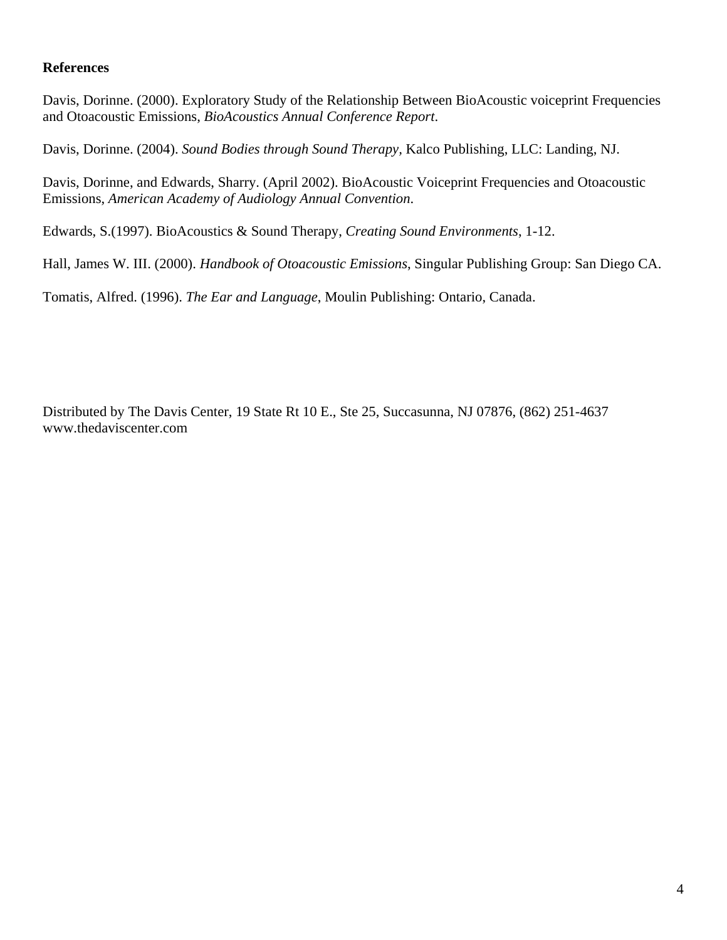#### **References**

Davis, Dorinne. (2000). Exploratory Study of the Relationship Between BioAcoustic voiceprint Frequencies and Otoacoustic Emissions, *BioAcoustics Annual Conference Report*.

Davis, Dorinne. (2004). *Sound Bodies through Sound Therapy,* Kalco Publishing, LLC: Landing, NJ.

Davis, Dorinne, and Edwards, Sharry. (April 2002). BioAcoustic Voiceprint Frequencies and Otoacoustic Emissions, *American Academy of Audiology Annual Convention*.

Edwards, S.(1997). BioAcoustics & Sound Therapy, *Creating Sound Environments*, 1-12.

Hall, James W. III. (2000). *Handbook of Otoacoustic Emissions*, Singular Publishing Group: San Diego CA.

Tomatis, Alfred. (1996). *The Ear and Language*, Moulin Publishing: Ontario, Canada.

Distributed by The Davis Center, 19 State Rt 10 E., Ste 25, Succasunna, NJ 07876, (862) 251-4637 www.thedaviscenter.com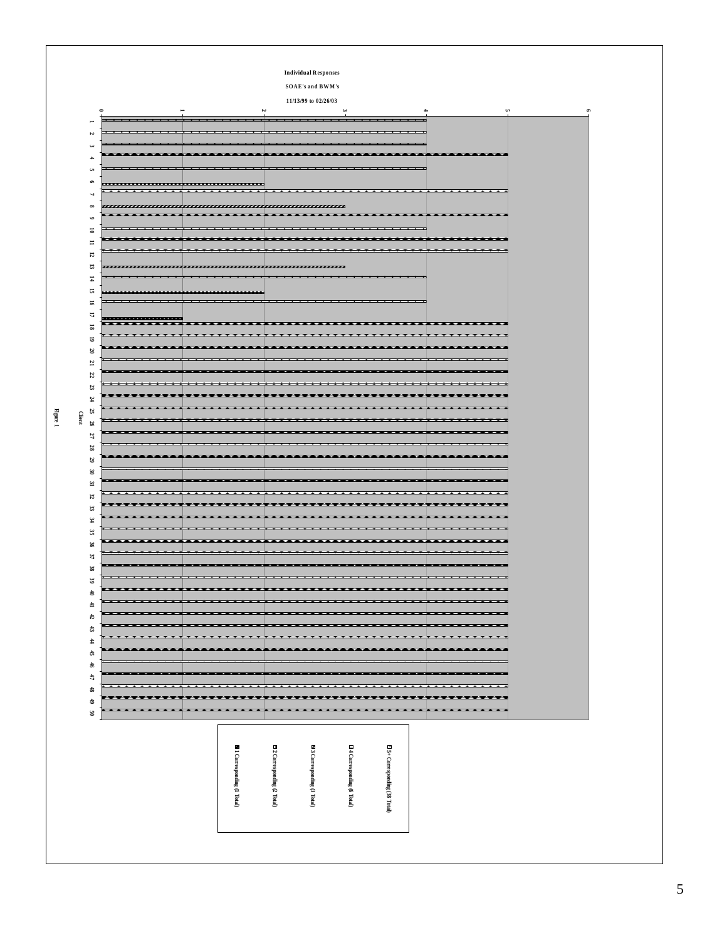|                                                           |                                           |                          |                               | <b>Individual Responses</b>                                           |                                                      |                                       |                             |
|-----------------------------------------------------------|-------------------------------------------|--------------------------|-------------------------------|-----------------------------------------------------------------------|------------------------------------------------------|---------------------------------------|-----------------------------|
|                                                           |                                           |                          |                               | <b>SOAE's and BWM's</b>                                               |                                                      |                                       |                             |
|                                                           |                                           |                          |                               | 11/13/99 to 02/26/03                                                  |                                                      |                                       |                             |
|                                                           | $\equiv$                                  |                          | ίJ,                           |                                                                       | نيه ا                                                |                                       | <b>u</b>                    |
|                                                           |                                           |                          |                               |                                                                       |                                                      |                                       |                             |
| Z                                                         |                                           |                          |                               |                                                                       |                                                      |                                       |                             |
|                                                           |                                           |                          |                               |                                                                       |                                                      |                                       |                             |
| <b>A</b>                                                  |                                           |                          |                               |                                                                       |                                                      |                                       |                             |
| <b>u</b>                                                  |                                           |                          |                               |                                                                       |                                                      |                                       |                             |
| $\circ$                                                   |                                           |                          |                               |                                                                       |                                                      | . <i>.</i>                            |                             |
| $\infty$                                                  |                                           |                          |                               |                                                                       |                                                      |                                       |                             |
| $\bullet$                                                 |                                           |                          |                               |                                                                       |                                                      |                                       |                             |
|                                                           |                                           |                          |                               |                                                                       |                                                      |                                       |                             |
| ᇹ<br>$\equiv$                                             |                                           |                          |                               |                                                                       |                                                      |                                       |                             |
| 12                                                        |                                           |                          |                               |                                                                       |                                                      |                                       |                             |
| E,                                                        |                                           |                          |                               |                                                                       |                                                      |                                       |                             |
| $\overline{4}$                                            |                                           |                          |                               |                                                                       |                                                      |                                       |                             |
| 뉴                                                         |                                           |                          | ,,,,,,,,,,,,,,,,,,,,,,,,,,,,, |                                                                       |                                                      |                                       |                             |
| 51                                                        |                                           |                          |                               | <del>.</del>                                                          |                                                      |                                       |                             |
| Б                                                         |                                           |                          |                               |                                                                       |                                                      |                                       |                             |
| 2                                                         | ,,,,,,,,,,,,,,,,,,,,,,,,,,<br>≖<br>z<br>z |                          |                               | ---                                                                   | $\overline{\phantom{0}}$<br>$\overline{\phantom{0}}$ | $\overline{\phantom{0}}$              | ≖≖                          |
| 2                                                         |                                           |                          |                               |                                                                       |                                                      |                                       |                             |
| g                                                         |                                           |                          |                               |                                                                       |                                                      |                                       |                             |
| Ľ                                                         |                                           |                          |                               |                                                                       |                                                      |                                       |                             |
| 22                                                        |                                           |                          |                               |                                                                       |                                                      |                                       |                             |
| 23                                                        |                                           |                          |                               |                                                                       |                                                      |                                       |                             |
| Ħ                                                         |                                           |                          |                               |                                                                       |                                                      |                                       |                             |
| 25                                                        |                                           |                          |                               |                                                                       |                                                      |                                       |                             |
| 97                                                        |                                           |                          |                               |                                                                       |                                                      |                                       |                             |
| 27                                                        |                                           |                          |                               |                                                                       |                                                      |                                       |                             |
| 28                                                        |                                           |                          |                               |                                                                       |                                                      |                                       |                             |
| 29                                                        |                                           |                          |                               |                                                                       |                                                      |                                       |                             |
| w                                                         |                                           |                          |                               |                                                                       |                                                      |                                       |                             |
| F                                                         |                                           |                          |                               |                                                                       |                                                      |                                       |                             |
| $\mathfrak{z}$                                            |                                           |                          |                               |                                                                       |                                                      |                                       |                             |
| 33                                                        |                                           | --                       |                               | __________                                                            |                                                      | ____________                          | -----<br>$-$                |
| ¥,                                                        |                                           |                          |                               |                                                                       |                                                      |                                       |                             |
| S.                                                        |                                           |                          |                               |                                                                       |                                                      |                                       |                             |
| x                                                         |                                           |                          |                               |                                                                       |                                                      |                                       |                             |
| $\boldsymbol{\mathcal{Z}}$                                |                                           |                          |                               |                                                                       |                                                      |                                       |                             |
| æ                                                         |                                           |                          |                               |                                                                       |                                                      |                                       |                             |
|                                                           |                                           | $\overline{\phantom{a}}$ | <u>.</u>                      | ---------                                                             |                                                      | .                                     |                             |
|                                                           |                                           |                          |                               |                                                                       |                                                      |                                       |                             |
|                                                           |                                           |                          |                               | ---                                                                   | $- - - - -$                                          |                                       | . <del>.</del> .            |
|                                                           | *********************                     |                          |                               | .                                                                     |                                                      |                                       | <del>.</del>                |
| S<br>۵<br>$\mathbf{r}$<br>$\boldsymbol{\tau}$             |                                           |                          |                               |                                                                       |                                                      |                                       |                             |
|                                                           |                                           |                          |                               |                                                                       |                                                      |                                       |                             |
|                                                           |                                           | <u>. . </u>              |                               | <del>.</del><br><b>***</b>                                            |                                                      |                                       | <b>TTT</b>                  |
|                                                           |                                           |                          |                               | ----                                                                  | $\overline{\phantom{a}}$                             |                                       | **                          |
|                                                           |                                           |                          | $\overline{\phantom{a}}$      | $\overline{\phantom{a}}$                                              | $\overline{\phantom{a}}$                             | $\overline{\phantom{a}}$              | $\overline{\phantom{a}}$    |
|                                                           |                                           |                          |                               |                                                                       |                                                      |                                       | <b>********************</b> |
|                                                           |                                           |                          |                               |                                                                       |                                                      |                                       |                             |
|                                                           |                                           |                          |                               | .                                                                     |                                                      |                                       | --<br>H                     |
| a<br>$\ddagger$<br>Ĝ,<br>\$<br>đ<br>\$<br>$\epsilon$<br>క |                                           |                          |                               |                                                                       |                                                      |                                       |                             |
|                                                           |                                           |                          |                               |                                                                       |                                                      |                                       |                             |
|                                                           |                                           |                          |                               |                                                                       |                                                      |                                       |                             |
|                                                           |                                           |                          |                               |                                                                       |                                                      |                                       |                             |
|                                                           |                                           |                          |                               |                                                                       |                                                      |                                       |                             |
|                                                           |                                           |                          |                               |                                                                       |                                                      |                                       |                             |
|                                                           |                                           |                          |                               |                                                                       |                                                      |                                       |                             |
|                                                           |                                           |                          | ■ 1 Corresponding (1 Total)   | $\Xi$ 2 Corresponding (2 Total)<br><b>■ 3 Corresponding (3 Total)</b> | $\Box$ 4 Corresponding $(6\ \mathrm{Total})$         | $\boxdot$ 5+ Corresponding (38 Total) |                             |

# **Figure 1**

##